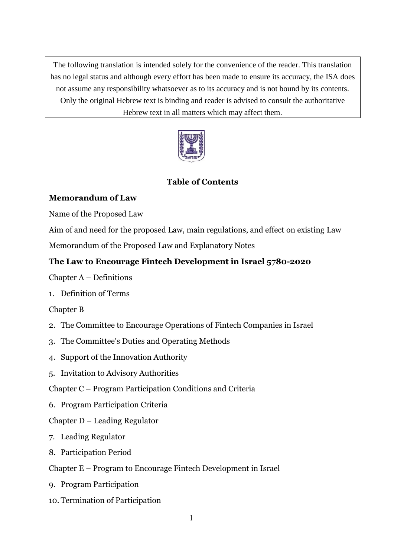The following translation is intended solely for the convenience of the reader. This translation has no legal status and although every effort has been made to ensure its accuracy, the ISA does not assume any responsibility whatsoever as to its accuracy and is not bound by its contents. Only the original Hebrew text is binding and reader is advised to consult the authoritative Hebrew text in all matters which may affect them.



### **Table of Contents**

### **Memorandum of Law**

Name of the Proposed Law

Aim of and need for the proposed Law, main regulations, and effect on existing Law

Memorandum of the Proposed Law and Explanatory Notes

### **The Law to Encourage Fintech Development in Israel 5780-2020**

Chapter A – Definitions

1. Definition of Terms

### Chapter B

- 2. The Committee to Encourage Operations of Fintech Companies in Israel
- 3. The Committee's Duties and Operating Methods
- 4. Support of the Innovation Authority
- 5. Invitation to Advisory Authorities
- Chapter C Program Participation Conditions and Criteria
- 6. Program Participation Criteria

### Chapter D – Leading Regulator

- 7. Leading Regulator
- 8. Participation Period
- Chapter E Program to Encourage Fintech Development in Israel
- 9. Program Participation
- 10. Termination of Participation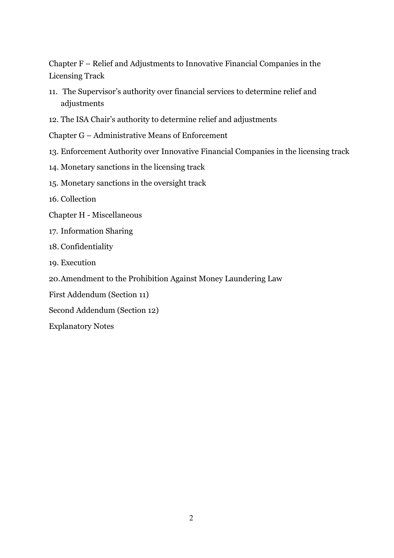Chapter F – Relief and Adjustments to Innovative Financial Companies in the Licensing Track

- 11. The Supervisor's authority over financial services to determine relief and adjustments
- 12. The ISA Chair's authority to determine relief and adjustments
- Chapter G Administrative Means of Enforcement
- 13. Enforcement Authority over Innovative Financial Companies in the licensing track
- 14. Monetary sanctions in the licensing track
- 15. Monetary sanctions in the oversight track
- 16. Collection
- Chapter H Miscellaneous
- 17. Information Sharing
- 18. Confidentiality
- 19. Execution
- 20.Amendment to the Prohibition Against Money Laundering Law
- First Addendum (Section 11)
- Second Addendum (Section 12)
- Explanatory Notes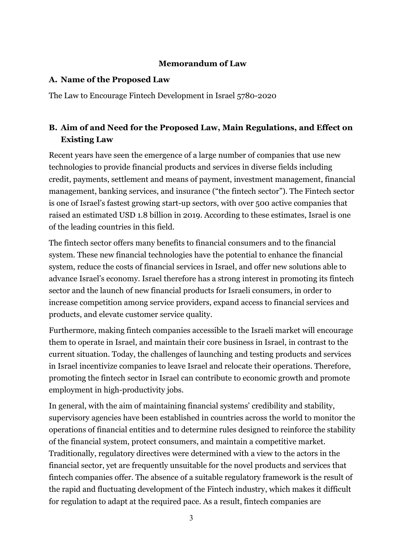### **Memorandum of Law**

#### **A. Name of the Proposed Law**

The Law to Encourage Fintech Development in Israel 5780-2020

# **B. Aim of and Need for the Proposed Law, Main Regulations, and Effect on Existing Law**

Recent years have seen the emergence of a large number of companies that use new technologies to provide financial products and services in diverse fields including credit, payments, settlement and means of payment, investment management, financial management, banking services, and insurance ("the fintech sector"). The Fintech sector is one of Israel's fastest growing start-up sectors, with over 500 active companies that raised an estimated USD 1.8 billion in 2019. According to these estimates, Israel is one of the leading countries in this field.

The fintech sector offers many benefits to financial consumers and to the financial system. These new financial technologies have the potential to enhance the financial system, reduce the costs of financial services in Israel, and offer new solutions able to advance Israel's economy. Israel therefore has a strong interest in promoting its fintech sector and the launch of new financial products for Israeli consumers, in order to increase competition among service providers, expand access to financial services and products, and elevate customer service quality.

Furthermore, making fintech companies accessible to the Israeli market will encourage them to operate in Israel, and maintain their core business in Israel, in contrast to the current situation. Today, the challenges of launching and testing products and services in Israel incentivize companies to leave Israel and relocate their operations. Therefore, promoting the fintech sector in Israel can contribute to economic growth and promote employment in high-productivity jobs.

In general, with the aim of maintaining financial systems' credibility and stability, supervisory agencies have been established in countries across the world to monitor the operations of financial entities and to determine rules designed to reinforce the stability of the financial system, protect consumers, and maintain a competitive market. Traditionally, regulatory directives were determined with a view to the actors in the financial sector, yet are frequently unsuitable for the novel products and services that fintech companies offer. The absence of a suitable regulatory framework is the result of the rapid and fluctuating development of the Fintech industry, which makes it difficult for regulation to adapt at the required pace. As a result, fintech companies are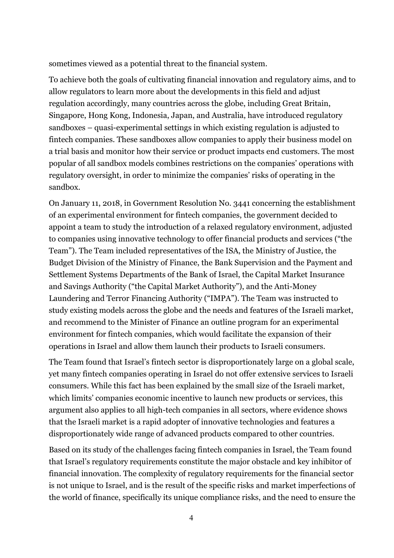sometimes viewed as a potential threat to the financial system.

To achieve both the goals of cultivating financial innovation and regulatory aims, and to allow regulators to learn more about the developments in this field and adjust regulation accordingly, many countries across the globe, including Great Britain, Singapore, Hong Kong, Indonesia, Japan, and Australia, have introduced regulatory sandboxes – quasi-experimental settings in which existing regulation is adjusted to fintech companies. These sandboxes allow companies to apply their business model on a trial basis and monitor how their service or product impacts end customers. The most popular of all sandbox models combines restrictions on the companies' operations with regulatory oversight, in order to minimize the companies' risks of operating in the sandbox.

On January 11, 2018, in Government Resolution No. 3441 concerning the establishment of an experimental environment for fintech companies, the government decided to appoint a team to study the introduction of a relaxed regulatory environment, adjusted to companies using innovative technology to offer financial products and services ("the Team"). The Team included representatives of the ISA, the Ministry of Justice, the Budget Division of the Ministry of Finance, the Bank Supervision and the Payment and Settlement Systems Departments of the Bank of Israel, the Capital Market Insurance and Savings Authority ("the Capital Market Authority"), and the Anti-Money Laundering and Terror Financing Authority ("IMPA"). The Team was instructed to study existing models across the globe and the needs and features of the Israeli market, and recommend to the Minister of Finance an outline program for an experimental environment for fintech companies, which would facilitate the expansion of their operations in Israel and allow them launch their products to Israeli consumers.

The Team found that Israel's fintech sector is disproportionately large on a global scale, yet many fintech companies operating in Israel do not offer extensive services to Israeli consumers. While this fact has been explained by the small size of the Israeli market, which limits' companies economic incentive to launch new products or services, this argument also applies to all high-tech companies in all sectors, where evidence shows that the Israeli market is a rapid adopter of innovative technologies and features a disproportionately wide range of advanced products compared to other countries.

Based on its study of the challenges facing fintech companies in Israel, the Team found that Israel's regulatory requirements constitute the major obstacle and key inhibitor of financial innovation. The complexity of regulatory requirements for the financial sector is not unique to Israel, and is the result of the specific risks and market imperfections of the world of finance, specifically its unique compliance risks, and the need to ensure the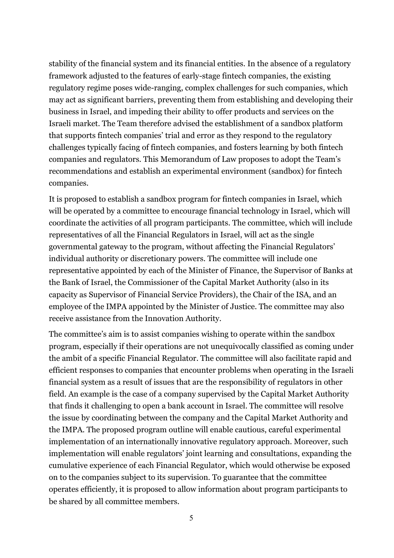stability of the financial system and its financial entities. In the absence of a regulatory framework adjusted to the features of early-stage fintech companies, the existing regulatory regime poses wide-ranging, complex challenges for such companies, which may act as significant barriers, preventing them from establishing and developing their business in Israel, and impeding their ability to offer products and services on the Israeli market. The Team therefore advised the establishment of a sandbox platform that supports fintech companies' trial and error as they respond to the regulatory challenges typically facing of fintech companies, and fosters learning by both fintech companies and regulators. This Memorandum of Law proposes to adopt the Team's recommendations and establish an experimental environment (sandbox) for fintech companies.

It is proposed to establish a sandbox program for fintech companies in Israel, which will be operated by a committee to encourage financial technology in Israel, which will coordinate the activities of all program participants. The committee, which will include representatives of all the Financial Regulators in Israel, will act as the single governmental gateway to the program, without affecting the Financial Regulators' individual authority or discretionary powers. The committee will include one representative appointed by each of the Minister of Finance, the Supervisor of Banks at the Bank of Israel, the Commissioner of the Capital Market Authority (also in its capacity as Supervisor of Financial Service Providers), the Chair of the ISA, and an employee of the IMPA appointed by the Minister of Justice. The committee may also receive assistance from the Innovation Authority.

The committee's aim is to assist companies wishing to operate within the sandbox program, especially if their operations are not unequivocally classified as coming under the ambit of a specific Financial Regulator. The committee will also facilitate rapid and efficient responses to companies that encounter problems when operating in the Israeli financial system as a result of issues that are the responsibility of regulators in other field. An example is the case of a company supervised by the Capital Market Authority that finds it challenging to open a bank account in Israel. The committee will resolve the issue by coordinating between the company and the Capital Market Authority and the IMPA. The proposed program outline will enable cautious, careful experimental implementation of an internationally innovative regulatory approach. Moreover, such implementation will enable regulators' joint learning and consultations, expanding the cumulative experience of each Financial Regulator, which would otherwise be exposed on to the companies subject to its supervision. To guarantee that the committee operates efficiently, it is proposed to allow information about program participants to be shared by all committee members.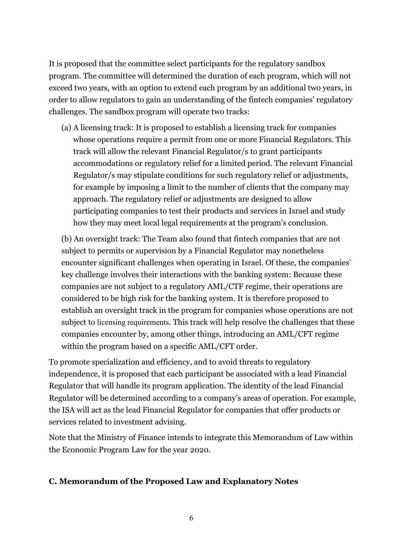It is proposed that the committee select participants for the regulatory sandbox program. The committee will determined the duration of each program, which will not exceed two years, with an option to extend each program by an additional two years, in order to allow regulators to gain an understanding of the fintech companies' regulatory challenges. The sandbox program will operate two tracks:

(a) A licensing track: It is proposed to establish a licensing track for companies whose operations require a permit from one or more Financial Regulators. This track will allow the relevant Financial Regulator/s to grant participants accommodations or regulatory relief for a limited period. The relevant Financial Regulator/s may stipulate conditions for such regulatory relief or adjustments, for example by imposing a limit to the number of clients that the company may approach. The regulatory relief or adjustments are designed to allow participating companies to test their products and services in Israel and study how they may meet local legal requirements at the program's conclusion.

(b) An oversight track: The Team also found that fintech companies that are not subject to permits or supervision by a Financial Regulator may nonetheless encounter significant challenges when operating in Israel. Of these, the companies' key challenge involves their interactions with the banking system: Because these companies are not subject to a regulatory AML/CTF regime, their operations are considered to be high risk for the banking system. It is therefore proposed to establish an oversight track in the program for companies whose operations are not subject to licensing requirements. This track will help resolve the challenges that these companies encounter by, among other things, introducing an AML/CFT regime within the program based on a specific AML/CFT order.

To promote specialization and efficiency, and to avoid threats to regulatory independence, it is proposed that each participant be associated with a lead Financial Regulator that will handle its program application. The identity of the lead Financial Regulator will be determined according to a company's areas of operation. For example, the ISA will act as the lead Financial Regulator for companies that offer products or services related to investment advising.

Note that the Ministry of Finance intends to integrate this Memorandum of Law within the Economic Program Law for the year 2020.

### **C. Memorandum of the Proposed Law and Explanatory Notes**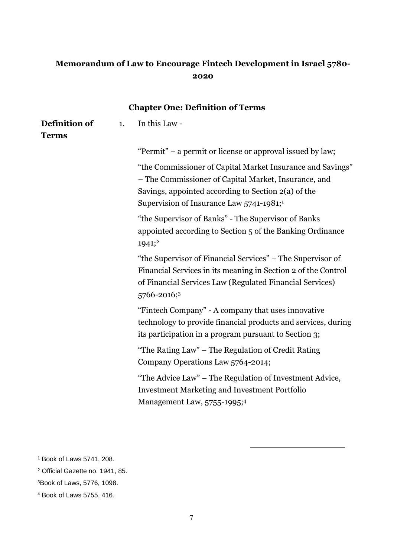# **Memorandum of Law to Encourage Fintech Development in Israel 5780- 2020**

| <b>Chapter One: Definition of Terms</b> |    |                                                                                                                                                                                                                                      |  |
|-----------------------------------------|----|--------------------------------------------------------------------------------------------------------------------------------------------------------------------------------------------------------------------------------------|--|
| Definition of<br><b>Terms</b>           | 1. | In this Law -                                                                                                                                                                                                                        |  |
|                                         |    | "Permit" – a permit or license or approval issued by law;                                                                                                                                                                            |  |
|                                         |    | "the Commissioner of Capital Market Insurance and Savings"<br>- The Commissioner of Capital Market, Insurance, and<br>Savings, appointed according to Section 2(a) of the<br>Supervision of Insurance Law $5741-1981$ ; <sup>1</sup> |  |
|                                         |    | "the Supervisor of Banks" - The Supervisor of Banks<br>appointed according to Section 5 of the Banking Ordinance<br>1941;2                                                                                                           |  |
|                                         |    | "the Supervisor of Financial Services" – The Supervisor of<br>Financial Services in its meaning in Section 2 of the Control<br>of Financial Services Law (Regulated Financial Services)<br>5766-2016;3                               |  |
|                                         |    | "Fintech Company" - A company that uses innovative<br>technology to provide financial products and services, during<br>its participation in a program pursuant to Section 3;                                                         |  |
|                                         |    | "The Rating Law" - The Regulation of Credit Rating<br>Company Operations Law 5764-2014;                                                                                                                                              |  |
|                                         |    | "The Advice Law" - The Regulation of Investment Advice,<br><b>Investment Marketing and Investment Portfolio</b><br>Management Law, 5755-1995;4                                                                                       |  |

-

<sup>1</sup> Book of Laws 5741, 208.

<sup>2</sup> Official Gazette no. 1941, 85.

<sup>3</sup>Book of Laws, 5776, 1098.

<sup>4</sup> Book of Laws 5755, 416.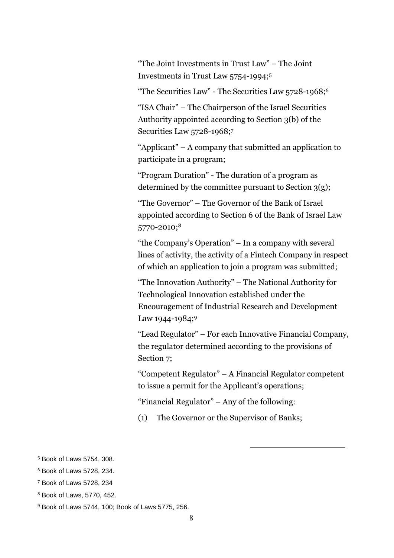"The Joint Investments in Trust Law" – The Joint Investments in Trust Law 5754-1994;<sup>5</sup>

"The Securities Law" - The Securities Law 5728-1968;<sup>6</sup>

"ISA Chair" – The Chairperson of the Israel Securities Authority appointed according to Section 3(b) of the Securities Law 5728-1968;<sup>7</sup>

"Applicant" – A company that submitted an application to participate in a program;

"Program Duration" - The duration of a program as determined by the committee pursuant to Section 3(g);

"The Governor" – The Governor of the Bank of Israel appointed according to Section 6 of the Bank of Israel Law 5770-2010; 8

"the Company's Operation" – In a company with several lines of activity, the activity of a Fintech Company in respect of which an application to join a program was submitted;

"The Innovation Authority" – The National Authority for Technological Innovation established under the Encouragement of Industrial Research and Development Law 1944-1984;9

"Lead Regulator" – For each Innovative Financial Company, the regulator determined according to the provisions of Section 7;

"Competent Regulator" – A Financial Regulator competent to issue a permit for the Applicant's operations;

-

"Financial Regulator" – Any of the following:

(1) The Governor or the Supervisor of Banks;

<sup>5</sup> Book of Laws 5754, 308.

<sup>6</sup> Book of Laws 5728, 234.

<sup>7</sup> Book of Laws 5728, 234

<sup>8</sup> Book of Laws, 5770, 452.

<sup>9</sup> Book of Laws 5744, 100; Book of Laws 5775, 256.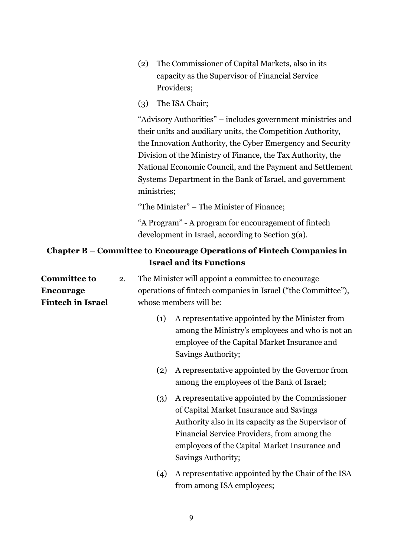- (2) The Commissioner of Capital Markets, also in its capacity as the Supervisor of Financial Service Providers;
- (3) The ISA Chair;

"Advisory Authorities" – includes government ministries and their units and auxiliary units, the Competition Authority, the Innovation Authority, the Cyber Emergency and Security Division of the Ministry of Finance, the Tax Authority, the National Economic Council, and the Payment and Settlement Systems Department in the Bank of Israel, and government ministries;

"The Minister" – The Minister of Finance;

"A Program" - A program for encouragement of fintech development in Israel, according to Section 3(a).

### **Chapter B – Committee to Encourage Operations of Fintech Companies in Israel and its Functions**

| <b>Committee to</b>      | 2. |     | The Minister will appoint a committee to encourage                                                                                                                                                                                                                     |
|--------------------------|----|-----|------------------------------------------------------------------------------------------------------------------------------------------------------------------------------------------------------------------------------------------------------------------------|
| <b>Encourage</b>         |    |     | operations of fintech companies in Israel ("the Committee"),                                                                                                                                                                                                           |
| <b>Fintech in Israel</b> |    |     | whose members will be:                                                                                                                                                                                                                                                 |
|                          |    | (1) | A representative appointed by the Minister from<br>among the Ministry's employees and who is not an<br>employee of the Capital Market Insurance and<br>Savings Authority;                                                                                              |
|                          |    | (2) | A representative appointed by the Governor from<br>among the employees of the Bank of Israel;                                                                                                                                                                          |
|                          |    | (3) | A representative appointed by the Commissioner<br>of Capital Market Insurance and Savings<br>Authority also in its capacity as the Supervisor of<br>Financial Service Providers, from among the<br>employees of the Capital Market Insurance and<br>Savings Authority; |
|                          |    | (4) | A representative appointed by the Chair of the ISA<br>from among ISA employees;                                                                                                                                                                                        |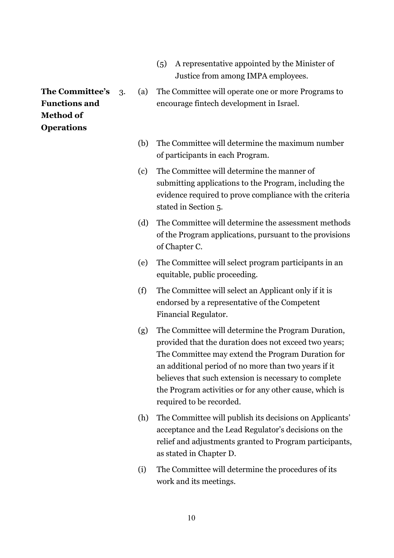- (5) A representative appointed by the Minister of Justice from among IMPA employees.
- 3. (a) The Committee will operate one or more Programs to encourage fintech development in Israel.
	- (b) The Committee will determine the maximum number of participants in each Program.
	- (c) The Committee will determine the manner of submitting applications to the Program, including the evidence required to prove compliance with the criteria stated in Section 5.
	- (d) The Committee will determine the assessment methods of the Program applications, pursuant to the provisions of Chapter C.
	- (e) The Committee will select program participants in an equitable, public proceeding.
	- (f) The Committee will select an Applicant only if it is endorsed by a representative of the Competent Financial Regulator.
	- (g) The Committee will determine the Program Duration, provided that the duration does not exceed two years; The Committee may extend the Program Duration for an additional period of no more than two years if it believes that such extension is necessary to complete the Program activities or for any other cause, which is required to be recorded.
	- (h) The Committee will publish its decisions on Applicants' acceptance and the Lead Regulator's decisions on the relief and adjustments granted to Program participants, as stated in Chapter D.
	- (i) The Committee will determine the procedures of its work and its meetings.

**The Committee's Functions and Method of Operations**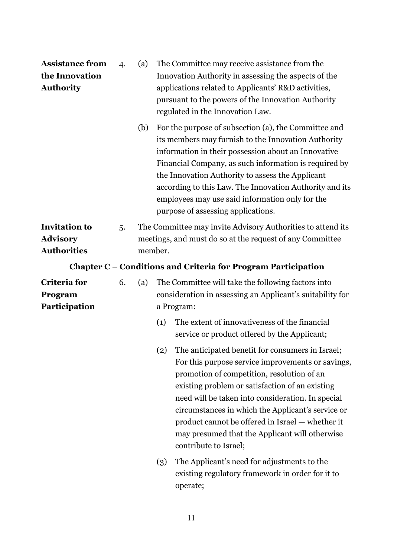| <b>Assistance from</b><br>the Innovation<br><b>Authority</b>  | 4. | (a)                                                                                                                                | The Committee may receive assistance from the<br>Innovation Authority in assessing the aspects of the<br>applications related to Applicants' R&D activities,<br>pursuant to the powers of the Innovation Authority<br>regulated in the Innovation Law.                                                                                                                                                                                                 |  |
|---------------------------------------------------------------|----|------------------------------------------------------------------------------------------------------------------------------------|--------------------------------------------------------------------------------------------------------------------------------------------------------------------------------------------------------------------------------------------------------------------------------------------------------------------------------------------------------------------------------------------------------------------------------------------------------|--|
|                                                               |    | (b)                                                                                                                                | For the purpose of subsection (a), the Committee and<br>its members may furnish to the Innovation Authority<br>information in their possession about an Innovative<br>Financial Company, as such information is required by<br>the Innovation Authority to assess the Applicant<br>according to this Law. The Innovation Authority and its<br>employees may use said information only for the<br>purpose of assessing applications.                    |  |
| <b>Invitation to</b><br><b>Advisory</b><br><b>Authorities</b> | 5. | The Committee may invite Advisory Authorities to attend its<br>meetings, and must do so at the request of any Committee<br>member. |                                                                                                                                                                                                                                                                                                                                                                                                                                                        |  |
|                                                               |    |                                                                                                                                    | Chapter C - Conditions and Criteria for Program Participation                                                                                                                                                                                                                                                                                                                                                                                          |  |
| Criteria for<br>Program<br>Participation                      | 6. | (a)                                                                                                                                | The Committee will take the following factors into<br>consideration in assessing an Applicant's suitability for<br>a Program:                                                                                                                                                                                                                                                                                                                          |  |
|                                                               |    |                                                                                                                                    | The extent of innovativeness of the financial<br>(1)<br>service or product offered by the Applicant;                                                                                                                                                                                                                                                                                                                                                   |  |
|                                                               |    |                                                                                                                                    | The anticipated benefit for consumers in Israel;<br>(2)<br>For this purpose service improvements or savings,<br>promotion of competition, resolution of an<br>existing problem or satisfaction of an existing<br>need will be taken into consideration. In special<br>circumstances in which the Applicant's service or<br>product cannot be offered in Israel — whether it<br>may presumed that the Applicant will otherwise<br>contribute to Israel; |  |
|                                                               |    |                                                                                                                                    | The Applicant's need for adjustments to the<br>(3)<br>existing regulatory framework in order for it to<br>operate;                                                                                                                                                                                                                                                                                                                                     |  |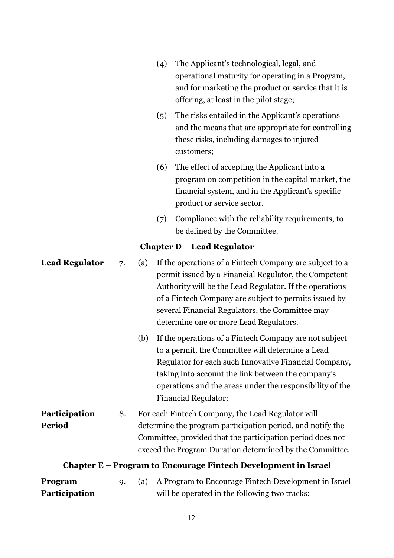- (4) The Applicant's technological, legal, and operational maturity for operating in a Program, and for marketing the product or service that it is offering, at least in the pilot stage;
- (5) The risks entailed in the Applicant's operations and the means that are appropriate for controlling these risks, including damages to injured customers;
- (6) The effect of accepting the Applicant into a program on competition in the capital market, the financial system, and in the Applicant's specific product or service sector.
- (7) Compliance with the reliability requirements, to be defined by the Committee.

### **Chapter D – Lead Regulator**

| <b>Lead Regulator</b> | 7. | (a)                                                                                                                                                                                  | If the operations of a Fintech Company are subject to a<br>permit issued by a Financial Regulator, the Competent<br>Authority will be the Lead Regulator. If the operations<br>of a Fintech Company are subject to permits issued by<br>several Financial Regulators, the Committee may<br>determine one or more Lead Regulators. |
|-----------------------|----|--------------------------------------------------------------------------------------------------------------------------------------------------------------------------------------|-----------------------------------------------------------------------------------------------------------------------------------------------------------------------------------------------------------------------------------------------------------------------------------------------------------------------------------|
|                       |    | (b)                                                                                                                                                                                  | If the operations of a Fintech Company are not subject<br>to a permit, the Committee will determine a Lead<br>Regulator for each such Innovative Financial Company,<br>taking into account the link between the company's<br>operations and the areas under the responsibility of the<br><b>Financial Regulator;</b>              |
| Participation         | 8. |                                                                                                                                                                                      | For each Fintech Company, the Lead Regulator will                                                                                                                                                                                                                                                                                 |
| Period                |    | determine the program participation period, and notify the<br>Committee, provided that the participation period does not<br>exceed the Program Duration determined by the Committee. |                                                                                                                                                                                                                                                                                                                                   |
|                       |    |                                                                                                                                                                                      | Chapter E – Program to Encourage Fintech Development in Israel                                                                                                                                                                                                                                                                    |
| Program               | 9. | (a)                                                                                                                                                                                  | A Program to Encourage Fintech Development in Israel                                                                                                                                                                                                                                                                              |
| Participation         |    |                                                                                                                                                                                      | will be operated in the following two tracks:                                                                                                                                                                                                                                                                                     |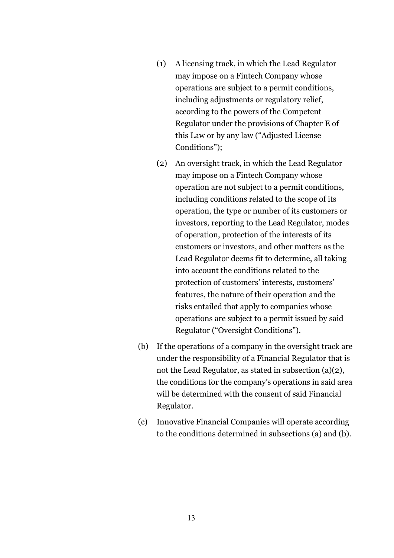- (1) A licensing track, in which the Lead Regulator may impose on a Fintech Company whose operations are subject to a permit conditions, including adjustments or regulatory relief, according to the powers of the Competent Regulator under the provisions of Chapter E of this Law or by any law ("Adjusted License Conditions");
- (2) An oversight track, in which the Lead Regulator may impose on a Fintech Company whose operation are not subject to a permit conditions, including conditions related to the scope of its operation, the type or number of its customers or investors, reporting to the Lead Regulator, modes of operation, protection of the interests of its customers or investors, and other matters as the Lead Regulator deems fit to determine, all taking into account the conditions related to the protection of customers' interests, customers' features, the nature of their operation and the risks entailed that apply to companies whose operations are subject to a permit issued by said Regulator ("Oversight Conditions").
- (b) If the operations of a company in the oversight track are under the responsibility of a Financial Regulator that is not the Lead Regulator, as stated in subsection (a)(2), the conditions for the company's operations in said area will be determined with the consent of said Financial Regulator.
- (c) Innovative Financial Companies will operate according to the conditions determined in subsections (a) and (b).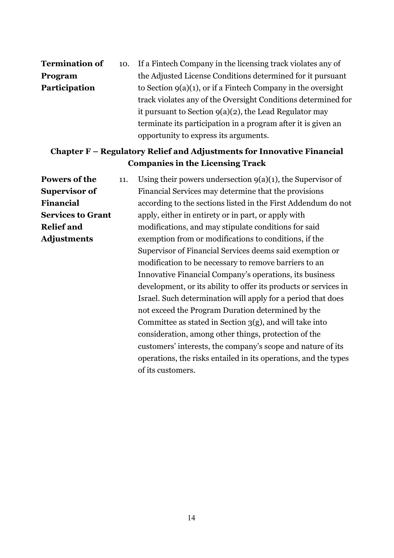| <b>Termination of</b> |  | 10. If a Fintech Company in the licensing track violates any of |  |  |
|-----------------------|--|-----------------------------------------------------------------|--|--|
| Program               |  | the Adjusted License Conditions determined for it pursuant      |  |  |
| Participation         |  | to Section $9(a)(1)$ , or if a Fintech Company in the oversight |  |  |
|                       |  | track violates any of the Oversight Conditions determined for   |  |  |
|                       |  | it pursuant to Section $g(a)(2)$ , the Lead Regulator may       |  |  |
|                       |  | terminate its participation in a program after it is given an   |  |  |
|                       |  | opportunity to express its arguments.                           |  |  |

### **Chapter F – Regulatory Relief and Adjustments for Innovative Financial Companies in the Licensing Track**

**Powers of the Supervisor of Financial Services to Grant Relief and Adjustments** 11. Using their powers undersection  $9(a)(1)$ , the Supervisor of Financial Services may determine that the provisions according to the sections listed in the First Addendum do not apply, either in entirety or in part, or apply with modifications, and may stipulate conditions for said exemption from or modifications to conditions, if the Supervisor of Financial Services deems said exemption or modification to be necessary to remove barriers to an Innovative Financial Company's operations, its business development, or its ability to offer its products or services in Israel. Such determination will apply for a period that does not exceed the Program Duration determined by the Committee as stated in Section 3(g), and will take into consideration, among other things, protection of the customers' interests, the company's scope and nature of its operations, the risks entailed in its operations, and the types of its customers.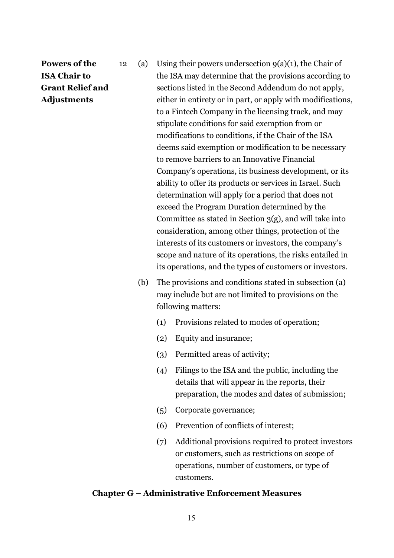# **Powers of the ISA Chair to Grant Relief and Adjustments**

- 12 (a) Using their powers undersection  $9(a)(1)$ , the Chair of the ISA may determine that the provisions according to sections listed in the Second Addendum do not apply, either in entirety or in part, or apply with modifications, to a Fintech Company in the licensing track, and may stipulate conditions for said exemption from or modifications to conditions, if the Chair of the ISA deems said exemption or modification to be necessary to remove barriers to an Innovative Financial Company's operations, its business development, or its ability to offer its products or services in Israel. Such determination will apply for a period that does not exceed the Program Duration determined by the Committee as stated in Section  $3(g)$ , and will take into consideration, among other things, protection of the interests of its customers or investors, the company's scope and nature of its operations, the risks entailed in its operations, and the types of customers or investors.
	- (b) The provisions and conditions stated in subsection (a) may include but are not limited to provisions on the following matters:
		- (1) Provisions related to modes of operation;
		- (2) Equity and insurance;
		- (3) Permitted areas of activity;
		- (4) Filings to the ISA and the public, including the details that will appear in the reports, their preparation, the modes and dates of submission;
		- (5) Corporate governance;
		- (6) Prevention of conflicts of interest;
		- (7) Additional provisions required to protect investors or customers, such as restrictions on scope of operations, number of customers, or type of customers.

#### **Chapter G – Administrative Enforcement Measures**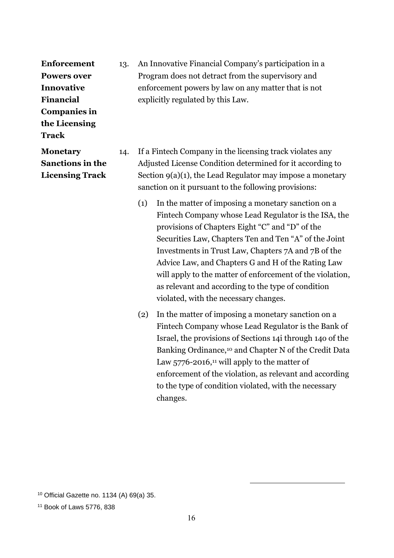**Enforcement Powers over Innovative Financial Companies in the Licensing Track**

13. An Innovative Financial Company's participation in a Program does not detract from the supervisory and enforcement powers by law on any matter that is not explicitly regulated by this Law.

14. If a Fintech Company in the licensing track violates any Adjusted License Condition determined for it according to Section 9(a)(1), the Lead Regulator may impose a monetary sanction on it pursuant to the following provisions:

- (1) In the matter of imposing a monetary sanction on a Fintech Company whose Lead Regulator is the ISA, the provisions of Chapters Eight "C" and "D" of the Securities Law, Chapters Ten and Ten "A" of the Joint Investments in Trust Law, Chapters 7A and 7B of the Advice Law, and Chapters G and H of the Rating Law will apply to the matter of enforcement of the violation, as relevant and according to the type of condition violated, with the necessary changes.
- (2) In the matter of imposing a monetary sanction on a Fintech Company whose Lead Regulator is the Bank of Israel, the provisions of Sections 14i through 14o of the Banking Ordinance,<sup>10</sup> and Chapter N of the Credit Data Law  $5776 - 2016$ ,<sup>11</sup> will apply to the matter of enforcement of the violation, as relevant and according to the type of condition violated, with the necessary changes.

-

**Monetary Sanctions in the Licensing Track**

<sup>10</sup> Official Gazette no. 1134 (A) 69(a) 35.

<sup>11</sup> Book of Laws 5776, 838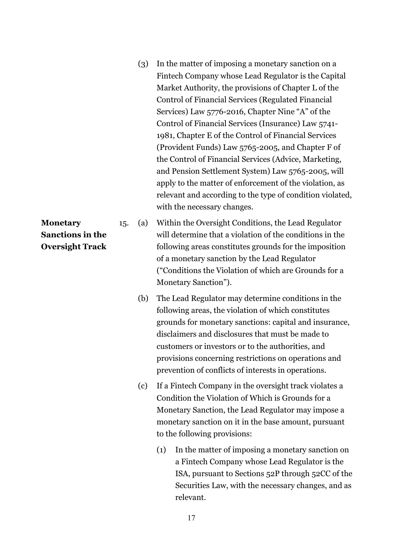(3) In the matter of imposing a monetary sanction on a Fintech Company whose Lead Regulator is the Capital Market Authority, the provisions of Chapter L of the Control of Financial Services (Regulated Financial Services) Law 5776-2016, Chapter Nine "A" of the Control of Financial Services (Insurance) Law 5741- 1981, Chapter E of the Control of Financial Services (Provident Funds) Law 5765-2005, and Chapter F of the Control of Financial Services (Advice, Marketing, and Pension Settlement System) Law 5765-2005, will apply to the matter of enforcement of the violation, as relevant and according to the type of condition violated, with the necessary changes.

15. (a) Within the Oversight Conditions, the Lead Regulator will determine that a violation of the conditions in the following areas constitutes grounds for the imposition of a monetary sanction by the Lead Regulator ("Conditions the Violation of which are Grounds for a Monetary Sanction").

- (b) The Lead Regulator may determine conditions in the following areas, the violation of which constitutes grounds for monetary sanctions: capital and insurance, disclaimers and disclosures that must be made to customers or investors or to the authorities, and provisions concerning restrictions on operations and prevention of conflicts of interests in operations.
- (c) If a Fintech Company in the oversight track violates a Condition the Violation of Which is Grounds for a Monetary Sanction, the Lead Regulator may impose a monetary sanction on it in the base amount, pursuant to the following provisions:
	- (1) In the matter of imposing a monetary sanction on a Fintech Company whose Lead Regulator is the ISA, pursuant to Sections 52P through 52CC of the Securities Law, with the necessary changes, and as relevant.

**Monetary Sanctions in the Oversight Track**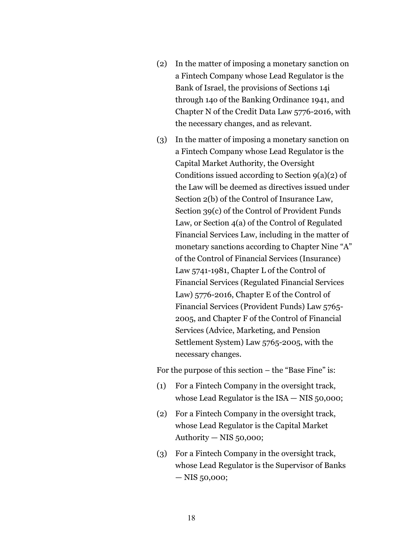- (2) In the matter of imposing a monetary sanction on a Fintech Company whose Lead Regulator is the Bank of Israel, the provisions of Sections 14i through 14o of the Banking Ordinance 1941, and Chapter N of the Credit Data Law 5776-2016, with the necessary changes, and as relevant.
- (3) In the matter of imposing a monetary sanction on a Fintech Company whose Lead Regulator is the Capital Market Authority, the Oversight Conditions issued according to Section 9(a)(2) of the Law will be deemed as directives issued under Section 2(b) of the Control of Insurance Law, Section 39(c) of the Control of Provident Funds Law, or Section 4(a) of the Control of Regulated Financial Services Law, including in the matter of monetary sanctions according to Chapter Nine "A" of the Control of Financial Services (Insurance) Law 5741-1981, Chapter L of the Control of Financial Services (Regulated Financial Services Law) 5776-2016, Chapter E of the Control of Financial Services (Provident Funds) Law 5765- 2005, and Chapter F of the Control of Financial Services (Advice, Marketing, and Pension Settlement System) Law 5765-2005, with the necessary changes.

For the purpose of this section – the "Base Fine" is:

- (1) For a Fintech Company in the oversight track, whose Lead Regulator is the ISA — NIS 50,000;
- (2) For a Fintech Company in the oversight track, whose Lead Regulator is the Capital Market Authority  $-$  NIS 50,000;
- (3) For a Fintech Company in the oversight track, whose Lead Regulator is the Supervisor of Banks — NIS 50,000;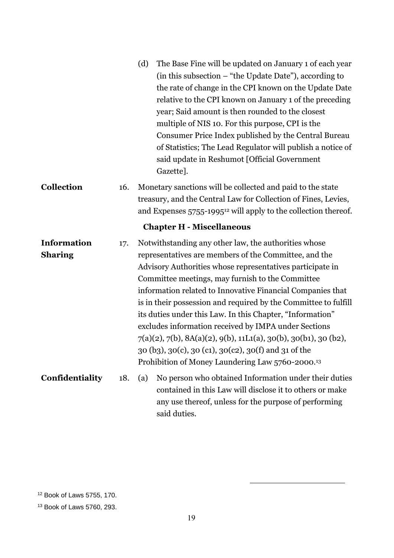|                                      |     | (d)<br>The Base Fine will be updated on January 1 of each year<br>(in this subsection – "the Update Date"), according to<br>the rate of change in the CPI known on the Update Date<br>relative to the CPI known on January 1 of the preceding<br>year; Said amount is then rounded to the closest<br>multiple of NIS 10. For this purpose, CPI is the<br>Consumer Price Index published by the Central Bureau<br>of Statistics; The Lead Regulator will publish a notice of<br>said update in Reshumot [Official Government<br>Gazette].                                                                                                                                       |  |
|--------------------------------------|-----|--------------------------------------------------------------------------------------------------------------------------------------------------------------------------------------------------------------------------------------------------------------------------------------------------------------------------------------------------------------------------------------------------------------------------------------------------------------------------------------------------------------------------------------------------------------------------------------------------------------------------------------------------------------------------------|--|
| Collection                           | 16. | Monetary sanctions will be collected and paid to the state<br>treasury, and the Central Law for Collection of Fines, Levies,<br>and Expenses 5755-1995 <sup>12</sup> will apply to the collection thereof.                                                                                                                                                                                                                                                                                                                                                                                                                                                                     |  |
|                                      |     | <b>Chapter H - Miscellaneous</b>                                                                                                                                                                                                                                                                                                                                                                                                                                                                                                                                                                                                                                               |  |
| <b>Information</b><br><b>Sharing</b> | 17. | Notwithstanding any other law, the authorities whose<br>representatives are members of the Committee, and the<br>Advisory Authorities whose representatives participate in<br>Committee meetings, may furnish to the Committee<br>information related to Innovative Financial Companies that<br>is in their possession and required by the Committee to fulfill<br>its duties under this Law. In this Chapter, "Information"<br>excludes information received by IMPA under Sections<br>$7(a)(2), 7(b), 8A(a)(2), 9(b), 11Li(a), 30(b), 30(b), 30(b),$<br>30 (b3), 30(c), 30 (c1), 30(c2), 30(f) and 31 of the<br>Prohibition of Money Laundering Law 5760-2000. <sup>13</sup> |  |
| Confidentiality                      | 18. | No person who obtained Information under their duties<br>(a)<br>contained in this Law will disclose it to others or make<br>any use thereof, unless for the purpose of performing<br>said duties.                                                                                                                                                                                                                                                                                                                                                                                                                                                                              |  |

<sup>12</sup> Book of Laws 5755, 170.

<sup>13</sup> Book of Laws 5760, 293.

-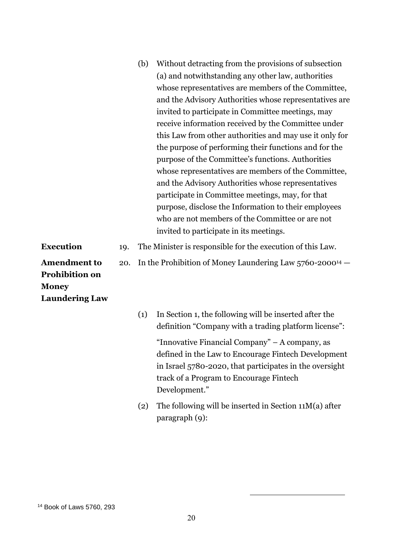| (b) | Without detracting from the provisions of subsection    |
|-----|---------------------------------------------------------|
|     | (a) and notwithstanding any other law, authorities      |
|     | whose representatives are members of the Committee,     |
|     | and the Advisory Authorities whose representatives are  |
|     | invited to participate in Committee meetings, may       |
|     | receive information received by the Committee under     |
|     | this Law from other authorities and may use it only for |
|     | the purpose of performing their functions and for the   |
|     | purpose of the Committee's functions. Authorities       |
|     | whose representatives are members of the Committee,     |
|     | and the Advisory Authorities whose representatives      |
|     | participate in Committee meetings, may, for that        |
|     | purpose, disclose the Information to their employees    |
|     | who are not members of the Committee or are not         |
|     | invited to participate in its meetings.                 |
|     |                                                         |

- **Execution** 19. The Minister is responsible for the execution of this Law.
	- 20. In the Prohibition of Money Laundering Law 5760-2000<sup>14</sup> —

**Amendment to Prohibition on Money Laundering Law**

| (1) | In Section 1, the following will be inserted after the<br>definition "Company with a trading platform license":                                                                                                              |
|-----|------------------------------------------------------------------------------------------------------------------------------------------------------------------------------------------------------------------------------|
|     | "Innovative Financial Company" – A company, as<br>defined in the Law to Encourage Fintech Development<br>in Israel 5780-2020, that participates in the oversight<br>track of a Program to Encourage Fintech<br>Development." |
| (2) | The following will be inserted in Section $11M(a)$ after<br>$\frac{1}{9}$ :                                                                                                                                                  |

-

#### <sup>14</sup> Book of Laws 5760, 293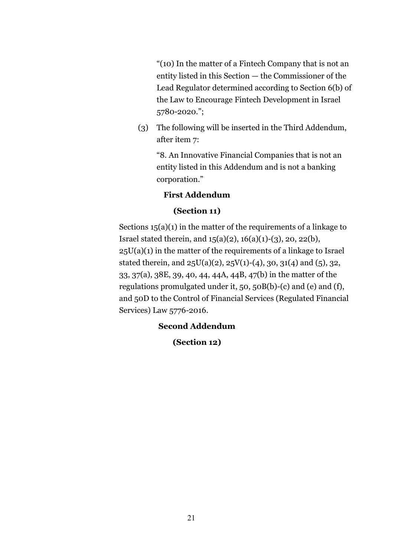"(10) In the matter of a Fintech Company that is not an entity listed in this Section — the Commissioner of the Lead Regulator determined according to Section 6(b) of the Law to Encourage Fintech Development in Israel 5780-2020.";

(3) The following will be inserted in the Third Addendum, after item 7:

"8. An Innovative Financial Companies that is not an entity listed in this Addendum and is not a banking corporation."

#### **First Addendum**

#### **(Section 11)**

Sections 15(a)(1) in the matter of the requirements of a linkage to Israel stated therein, and  $15(a)(2)$ ,  $16(a)(1)-(3)$ ,  $20, 22(b)$ ,  $25U(a)(1)$  in the matter of the requirements of a linkage to Israel stated therein, and  $25U(a)(2)$ ,  $25V(1)-(4)$ ,  $30, 31(4)$  and  $(5)$ ,  $32$ , 33, 37(a), 38E, 39, 40, 44, 44A, 44B, 47(b) in the matter of the regulations promulgated under it, 50, 50B(b)-(c) and (e) and (f), and 50D to the Control of Financial Services (Regulated Financial Services) Law 5776-2016.

### **Second Addendum**

### **(Section 12)**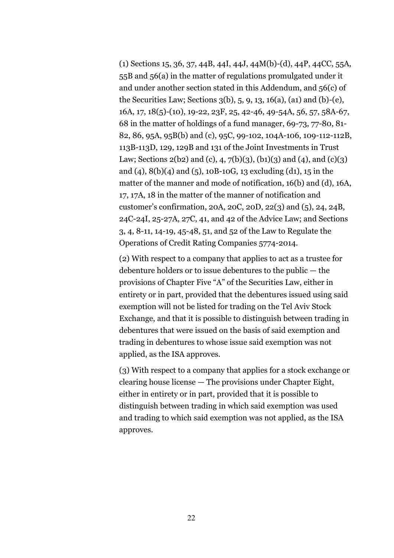(1) Sections 15, 36, 37, 44B, 44I, 44J, 44M(b)-(d), 44P, 44CC, 55A, 55B and 56(a) in the matter of regulations promulgated under it and under another section stated in this Addendum, and 56(c) of the Securities Law; Sections 3(b), 5, 9, 13, 16(a), (a1) and (b)-(e), 16A, 17, 18(5)-(10), 19-22, 23F, 25, 42-46, 49-54A, 56, 57, 58A-67, 68 in the matter of holdings of a fund manager, 69-73, 77-80, 81- 82, 86, 95A, 95B(b) and (c), 95C, 99-102, 104A-106, 109-112-112B, 113B-113D, 129, 129B and 131 of the Joint Investments in Trust Law; Sections 2(b2) and (c), 4, 7(b)(3), (b1)(3) and (4), and (c)(3) and (4), 8(b)(4) and (5), 10B-10G, 13 excluding (d1), 15 in the matter of the manner and mode of notification, 16(b) and (d), 16A, 17, 17A, 18 in the matter of the manner of notification and customer's confirmation, 20A, 20C, 20D, 22(3) and (5), 24, 24B, 24C-24I, 25-27A, 27C, 41, and 42 of the Advice Law; and Sections 3, 4, 8-11, 14-19, 45-48, 51, and 52 of the Law to Regulate the Operations of Credit Rating Companies 5774-2014.

(2) With respect to a company that applies to act as a trustee for debenture holders or to issue debentures to the public — the provisions of Chapter Five "A" of the Securities Law, either in entirety or in part, provided that the debentures issued using said exemption will not be listed for trading on the Tel Aviv Stock Exchange, and that it is possible to distinguish between trading in debentures that were issued on the basis of said exemption and trading in debentures to whose issue said exemption was not applied, as the ISA approves.

(3) With respect to a company that applies for a stock exchange or clearing house license — The provisions under Chapter Eight, either in entirety or in part, provided that it is possible to distinguish between trading in which said exemption was used and trading to which said exemption was not applied, as the ISA approves.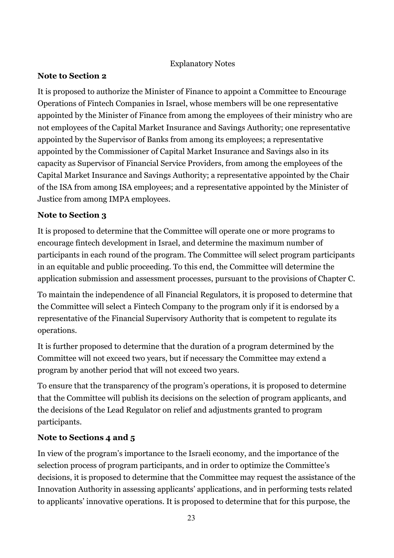### Explanatory Notes

### **Note to Section 2**

It is proposed to authorize the Minister of Finance to appoint a Committee to Encourage Operations of Fintech Companies in Israel, whose members will be one representative appointed by the Minister of Finance from among the employees of their ministry who are not employees of the Capital Market Insurance and Savings Authority; one representative appointed by the Supervisor of Banks from among its employees; a representative appointed by the Commissioner of Capital Market Insurance and Savings also in its capacity as Supervisor of Financial Service Providers, from among the employees of the Capital Market Insurance and Savings Authority; a representative appointed by the Chair of the ISA from among ISA employees; and a representative appointed by the Minister of Justice from among IMPA employees.

## **Note to Section 3**

It is proposed to determine that the Committee will operate one or more programs to encourage fintech development in Israel, and determine the maximum number of participants in each round of the program. The Committee will select program participants in an equitable and public proceeding. To this end, the Committee will determine the application submission and assessment processes, pursuant to the provisions of Chapter C.

To maintain the independence of all Financial Regulators, it is proposed to determine that the Committee will select a Fintech Company to the program only if it is endorsed by a representative of the Financial Supervisory Authority that is competent to regulate its operations.

It is further proposed to determine that the duration of a program determined by the Committee will not exceed two years, but if necessary the Committee may extend a program by another period that will not exceed two years.

To ensure that the transparency of the program's operations, it is proposed to determine that the Committee will publish its decisions on the selection of program applicants, and the decisions of the Lead Regulator on relief and adjustments granted to program participants.

# **Note to Sections 4 and 5**

In view of the program's importance to the Israeli economy, and the importance of the selection process of program participants, and in order to optimize the Committee's decisions, it is proposed to determine that the Committee may request the assistance of the Innovation Authority in assessing applicants' applications, and in performing tests related to applicants' innovative operations. It is proposed to determine that for this purpose, the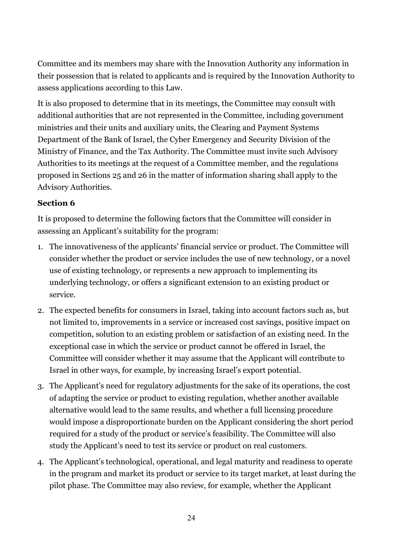Committee and its members may share with the Innovation Authority any information in their possession that is related to applicants and is required by the Innovation Authority to assess applications according to this Law.

It is also proposed to determine that in its meetings, the Committee may consult with additional authorities that are not represented in the Committee, including government ministries and their units and auxiliary units, the Clearing and Payment Systems Department of the Bank of Israel, the Cyber Emergency and Security Division of the Ministry of Finance, and the Tax Authority. The Committee must invite such Advisory Authorities to its meetings at the request of a Committee member, and the regulations proposed in Sections 25 and 26 in the matter of information sharing shall apply to the Advisory Authorities.

### **Section 6**

It is proposed to determine the following factors that the Committee will consider in assessing an Applicant's suitability for the program:

- 1. The innovativeness of the applicants' financial service or product. The Committee will consider whether the product or service includes the use of new technology, or a novel use of existing technology, or represents a new approach to implementing its underlying technology, or offers a significant extension to an existing product or service.
- 2. The expected benefits for consumers in Israel, taking into account factors such as, but not limited to, improvements in a service or increased cost savings, positive impact on competition, solution to an existing problem or satisfaction of an existing need. In the exceptional case in which the service or product cannot be offered in Israel, the Committee will consider whether it may assume that the Applicant will contribute to Israel in other ways, for example, by increasing Israel's export potential.
- 3. The Applicant's need for regulatory adjustments for the sake of its operations, the cost of adapting the service or product to existing regulation, whether another available alternative would lead to the same results, and whether a full licensing procedure would impose a disproportionate burden on the Applicant considering the short period required for a study of the product or service's feasibility. The Committee will also study the Applicant's need to test its service or product on real customers.
- 4. The Applicant's technological, operational, and legal maturity and readiness to operate in the program and market its product or service to its target market, at least during the pilot phase. The Committee may also review, for example, whether the Applicant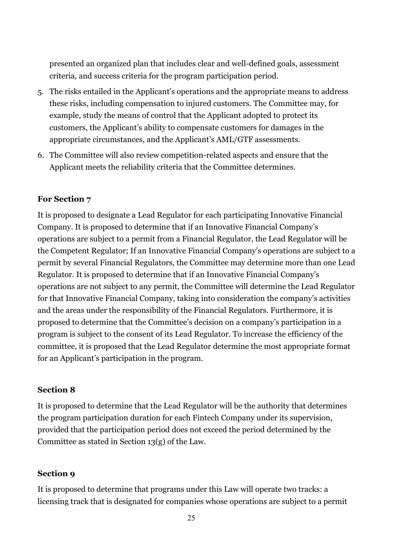presented an organized plan that includes clear and well-defined goals, assessment criteria, and success criteria for the program participation period.

- 5. The risks entailed in the Applicant's operations and the appropriate means to address these risks, including compensation to injured customers. The Committee may, for example, study the means of control that the Applicant adopted to protect its customers, the Applicant's ability to compensate customers for damages in the appropriate circumstances, and the Applicant's AML/GTF assessments.
- 6. The Committee will also review competition-related aspects and ensure that the Applicant meets the reliability criteria that the Committee determines.

### **For Section 7**

It is proposed to designate a Lead Regulator for each participating Innovative Financial Company. It is proposed to determine that if an Innovative Financial Company's operations are subject to a permit from a Financial Regulator, the Lead Regulator will be the Competent Regulator; If an Innovative Financial Company's operations are subject to a permit by several Financial Regulators, the Committee may determine more than one Lead Regulator. It is proposed to determine that if an Innovative Financial Company's operations are not subject to any permit, the Committee will determine the Lead Regulator for that Innovative Financial Company, taking into consideration the company's activities and the areas under the responsibility of the Financial Regulators. Furthermore, it is proposed to determine that the Committee's decision on a company's participation in a program is subject to the consent of its Lead Regulator. To increase the efficiency of the committee, it is proposed that the Lead Regulator determine the most appropriate format for an Applicant's participation in the program.

### **Section 8**

It is proposed to determine that the Lead Regulator will be the authority that determines the program participation duration for each Fintech Company under its supervision, provided that the participation period does not exceed the period determined by the Committee as stated in Section 13(g) of the Law.

### **Section 9**

It is proposed to determine that programs under this Law will operate two tracks: a licensing track that is designated for companies whose operations are subject to a permit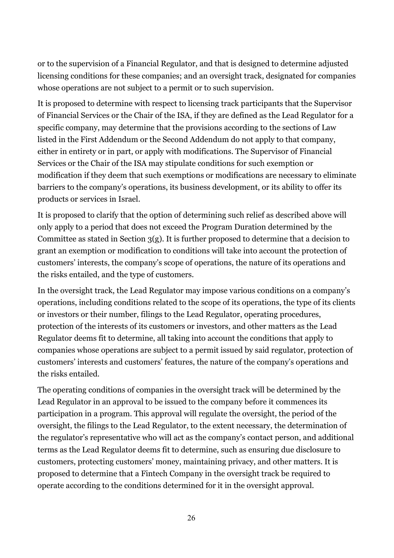or to the supervision of a Financial Regulator, and that is designed to determine adjusted licensing conditions for these companies; and an oversight track, designated for companies whose operations are not subject to a permit or to such supervision.

It is proposed to determine with respect to licensing track participants that the Supervisor of Financial Services or the Chair of the ISA, if they are defined as the Lead Regulator for a specific company, may determine that the provisions according to the sections of Law listed in the First Addendum or the Second Addendum do not apply to that company, either in entirety or in part, or apply with modifications. The Supervisor of Financial Services or the Chair of the ISA may stipulate conditions for such exemption or modification if they deem that such exemptions or modifications are necessary to eliminate barriers to the company's operations, its business development, or its ability to offer its products or services in Israel.

It is proposed to clarify that the option of determining such relief as described above will only apply to a period that does not exceed the Program Duration determined by the Committee as stated in Section 3(g). It is further proposed to determine that a decision to grant an exemption or modification to conditions will take into account the protection of customers' interests, the company's scope of operations, the nature of its operations and the risks entailed, and the type of customers.

In the oversight track, the Lead Regulator may impose various conditions on a company's operations, including conditions related to the scope of its operations, the type of its clients or investors or their number, filings to the Lead Regulator, operating procedures, protection of the interests of its customers or investors, and other matters as the Lead Regulator deems fit to determine, all taking into account the conditions that apply to companies whose operations are subject to a permit issued by said regulator, protection of customers' interests and customers' features, the nature of the company's operations and the risks entailed.

The operating conditions of companies in the oversight track will be determined by the Lead Regulator in an approval to be issued to the company before it commences its participation in a program. This approval will regulate the oversight, the period of the oversight, the filings to the Lead Regulator, to the extent necessary, the determination of the regulator's representative who will act as the company's contact person, and additional terms as the Lead Regulator deems fit to determine, such as ensuring due disclosure to customers, protecting customers' money, maintaining privacy, and other matters. It is proposed to determine that a Fintech Company in the oversight track be required to operate according to the conditions determined for it in the oversight approval.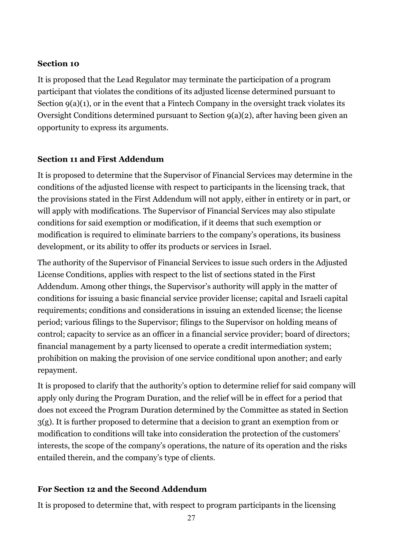### **Section 10**

It is proposed that the Lead Regulator may terminate the participation of a program participant that violates the conditions of its adjusted license determined pursuant to Section 9(a)(1), or in the event that a Fintech Company in the oversight track violates its Oversight Conditions determined pursuant to Section 9(a)(2), after having been given an opportunity to express its arguments.

### **Section 11 and First Addendum**

It is proposed to determine that the Supervisor of Financial Services may determine in the conditions of the adjusted license with respect to participants in the licensing track, that the provisions stated in the First Addendum will not apply, either in entirety or in part, or will apply with modifications. The Supervisor of Financial Services may also stipulate conditions for said exemption or modification, if it deems that such exemption or modification is required to eliminate barriers to the company's operations, its business development, or its ability to offer its products or services in Israel.

The authority of the Supervisor of Financial Services to issue such orders in the Adjusted License Conditions, applies with respect to the list of sections stated in the First Addendum. Among other things, the Supervisor's authority will apply in the matter of conditions for issuing a basic financial service provider license; capital and Israeli capital requirements; conditions and considerations in issuing an extended license; the license period; various filings to the Supervisor; filings to the Supervisor on holding means of control; capacity to service as an officer in a financial service provider; board of directors; financial management by a party licensed to operate a credit intermediation system; prohibition on making the provision of one service conditional upon another; and early repayment.

It is proposed to clarify that the authority's option to determine relief for said company will apply only during the Program Duration, and the relief will be in effect for a period that does not exceed the Program Duration determined by the Committee as stated in Section 3(g). It is further proposed to determine that a decision to grant an exemption from or modification to conditions will take into consideration the protection of the customers' interests, the scope of the company's operations, the nature of its operation and the risks entailed therein, and the company's type of clients.

### **For Section 12 and the Second Addendum**

It is proposed to determine that, with respect to program participants in the licensing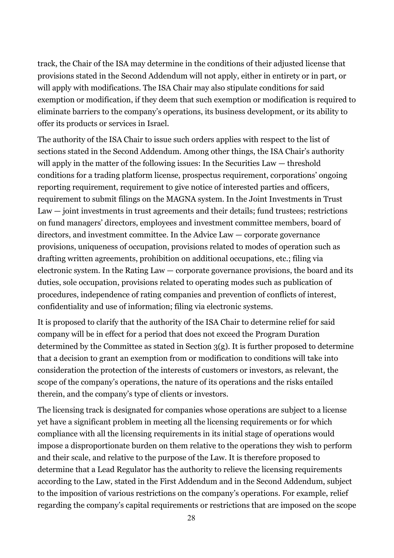track, the Chair of the ISA may determine in the conditions of their adjusted license that provisions stated in the Second Addendum will not apply, either in entirety or in part, or will apply with modifications. The ISA Chair may also stipulate conditions for said exemption or modification, if they deem that such exemption or modification is required to eliminate barriers to the company's operations, its business development, or its ability to offer its products or services in Israel.

The authority of the ISA Chair to issue such orders applies with respect to the list of sections stated in the Second Addendum. Among other things, the ISA Chair's authority will apply in the matter of the following issues: In the Securities Law — threshold conditions for a trading platform license, prospectus requirement, corporations' ongoing reporting requirement, requirement to give notice of interested parties and officers, requirement to submit filings on the MAGNA system. In the Joint Investments in Trust Law — joint investments in trust agreements and their details; fund trustees; restrictions on fund managers' directors, employees and investment committee members, board of directors, and investment committee. In the Advice Law — corporate governance provisions, uniqueness of occupation, provisions related to modes of operation such as drafting written agreements, prohibition on additional occupations, etc.; filing via electronic system. In the Rating Law — corporate governance provisions, the board and its duties, sole occupation, provisions related to operating modes such as publication of procedures, independence of rating companies and prevention of conflicts of interest, confidentiality and use of information; filing via electronic systems.

It is proposed to clarify that the authority of the ISA Chair to determine relief for said company will be in effect for a period that does not exceed the Program Duration determined by the Committee as stated in Section 3(g). It is further proposed to determine that a decision to grant an exemption from or modification to conditions will take into consideration the protection of the interests of customers or investors, as relevant, the scope of the company's operations, the nature of its operations and the risks entailed therein, and the company's type of clients or investors.

The licensing track is designated for companies whose operations are subject to a license yet have a significant problem in meeting all the licensing requirements or for which compliance with all the licensing requirements in its initial stage of operations would impose a disproportionate burden on them relative to the operations they wish to perform and their scale, and relative to the purpose of the Law. It is therefore proposed to determine that a Lead Regulator has the authority to relieve the licensing requirements according to the Law, stated in the First Addendum and in the Second Addendum, subject to the imposition of various restrictions on the company's operations. For example, relief regarding the company's capital requirements or restrictions that are imposed on the scope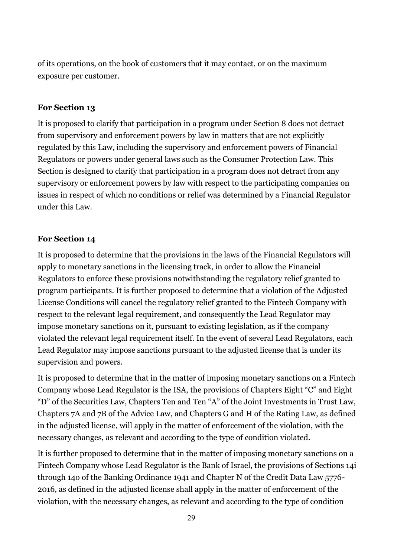of its operations, on the book of customers that it may contact, or on the maximum exposure per customer.

### **For Section 13**

It is proposed to clarify that participation in a program under Section 8 does not detract from supervisory and enforcement powers by law in matters that are not explicitly regulated by this Law, including the supervisory and enforcement powers of Financial Regulators or powers under general laws such as the Consumer Protection Law. This Section is designed to clarify that participation in a program does not detract from any supervisory or enforcement powers by law with respect to the participating companies on issues in respect of which no conditions or relief was determined by a Financial Regulator under this Law.

### **For Section 14**

It is proposed to determine that the provisions in the laws of the Financial Regulators will apply to monetary sanctions in the licensing track, in order to allow the Financial Regulators to enforce these provisions notwithstanding the regulatory relief granted to program participants. It is further proposed to determine that a violation of the Adjusted License Conditions will cancel the regulatory relief granted to the Fintech Company with respect to the relevant legal requirement, and consequently the Lead Regulator may impose monetary sanctions on it, pursuant to existing legislation, as if the company violated the relevant legal requirement itself. In the event of several Lead Regulators, each Lead Regulator may impose sanctions pursuant to the adjusted license that is under its supervision and powers.

It is proposed to determine that in the matter of imposing monetary sanctions on a Fintech Company whose Lead Regulator is the ISA, the provisions of Chapters Eight "C" and Eight "D" of the Securities Law, Chapters Ten and Ten "A" of the Joint Investments in Trust Law, Chapters 7A and 7B of the Advice Law, and Chapters G and H of the Rating Law, as defined in the adjusted license, will apply in the matter of enforcement of the violation, with the necessary changes, as relevant and according to the type of condition violated.

It is further proposed to determine that in the matter of imposing monetary sanctions on a Fintech Company whose Lead Regulator is the Bank of Israel, the provisions of Sections 14i through 14o of the Banking Ordinance 1941 and Chapter N of the Credit Data Law 5776- 2016, as defined in the adjusted license shall apply in the matter of enforcement of the violation, with the necessary changes, as relevant and according to the type of condition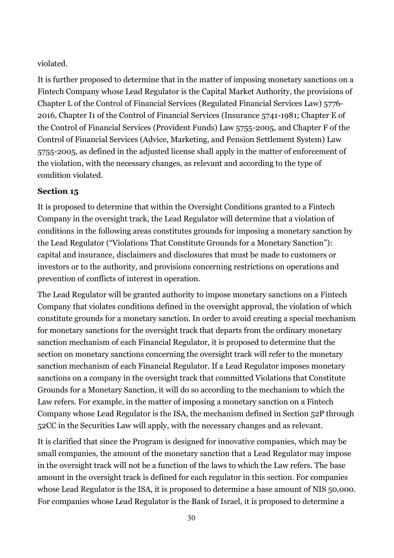violated.

It is further proposed to determine that in the matter of imposing monetary sanctions on a Fintech Company whose Lead Regulator is the Capital Market Authority, the provisions of Chapter L of the Control of Financial Services (Regulated Financial Services Law) 5776- 2016, Chapter I1 of the Control of Financial Services (Insurance 5741-1981; Chapter E of the Control of Financial Services (Provident Funds) Law 5755-2005, and Chapter F of the Control of Financial Services (Advice, Marketing, and Pension Settlement System) Law 5755-2005, as defined in the adjusted license shall apply in the matter of enforcement of the violation, with the necessary changes, as relevant and according to the type of condition violated.

# **Section 15**

It is proposed to determine that within the Oversight Conditions granted to a Fintech Company in the oversight track, the Lead Regulator will determine that a violation of conditions in the following areas constitutes grounds for imposing a monetary sanction by the Lead Regulator ("Violations That Constitute Grounds for a Monetary Sanction"): capital and insurance, disclaimers and disclosures that must be made to customers or investors or to the authority, and provisions concerning restrictions on operations and prevention of conflicts of interest in operation.

The Lead Regulator will be granted authority to impose monetary sanctions on a Fintech Company that violates conditions defined in the oversight approval, the violation of which constitute grounds for a monetary sanction. In order to avoid creating a special mechanism for monetary sanctions for the oversight track that departs from the ordinary monetary sanction mechanism of each Financial Regulator, it is proposed to determine that the section on monetary sanctions concerning the oversight track will refer to the monetary sanction mechanism of each Financial Regulator. If a Lead Regulator imposes monetary sanctions on a company in the oversight track that committed Violations that Constitute Grounds for a Monetary Sanction, it will do so according to the mechanism to which the Law refers. For example, in the matter of imposing a monetary sanction on a Fintech Company whose Lead Regulator is the ISA, the mechanism defined in Section 52P through 52CC in the Securities Law will apply, with the necessary changes and as relevant.

It is clarified that since the Program is designed for innovative companies, which may be small companies, the amount of the monetary sanction that a Lead Regulator may impose in the oversight track will not be a function of the laws to which the Law refers. The base amount in the oversight track is defined for each regulator in this section. For companies whose Lead Regulator is the ISA, it is proposed to determine a base amount of NIS 50,000. For companies whose Lead Regulator is the Bank of Israel, it is proposed to determine a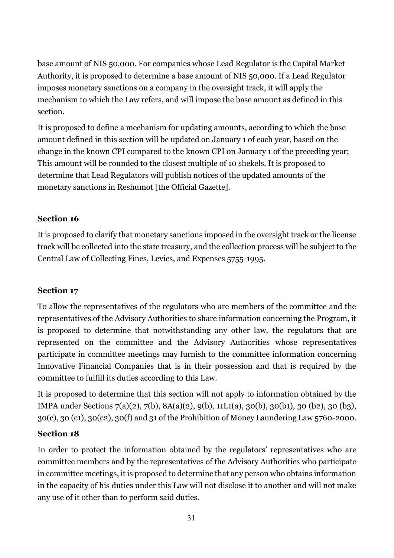base amount of NIS 50,000. For companies whose Lead Regulator is the Capital Market Authority, it is proposed to determine a base amount of NIS 50,000. If a Lead Regulator imposes monetary sanctions on a company in the oversight track, it will apply the mechanism to which the Law refers, and will impose the base amount as defined in this section.

It is proposed to define a mechanism for updating amounts, according to which the base amount defined in this section will be updated on January 1 of each year, based on the change in the known CPI compared to the known CPI on January 1 of the preceding year; This amount will be rounded to the closest multiple of 10 shekels. It is proposed to determine that Lead Regulators will publish notices of the updated amounts of the monetary sanctions in Reshumot [the Official Gazette].

### **Section 16**

It is proposed to clarify that monetary sanctions imposed in the oversight track or the license track will be collected into the state treasury, and the collection process will be subject to the Central Law of Collecting Fines, Levies, and Expenses 5755-1995.

### **Section 17**

To allow the representatives of the regulators who are members of the committee and the representatives of the Advisory Authorities to share information concerning the Program, it is proposed to determine that notwithstanding any other law, the regulators that are represented on the committee and the Advisory Authorities whose representatives participate in committee meetings may furnish to the committee information concerning Innovative Financial Companies that is in their possession and that is required by the committee to fulfill its duties according to this Law.

It is proposed to determine that this section will not apply to information obtained by the IMPA under Sections 7(a)(2), 7(b), 8A(a)(2), 9(b), 11L1(a), 30(b), 30(b1), 30 (b2), 30 (b3), 30(c), 30 (c1), 30(c2), 30(f) and 31 of the Prohibition of Money Laundering Law 5760-2000.

### **Section 18**

In order to protect the information obtained by the regulators' representatives who are committee members and by the representatives of the Advisory Authorities who participate in committee meetings, it is proposed to determine that any person who obtains information in the capacity of his duties under this Law will not disclose it to another and will not make any use of it other than to perform said duties.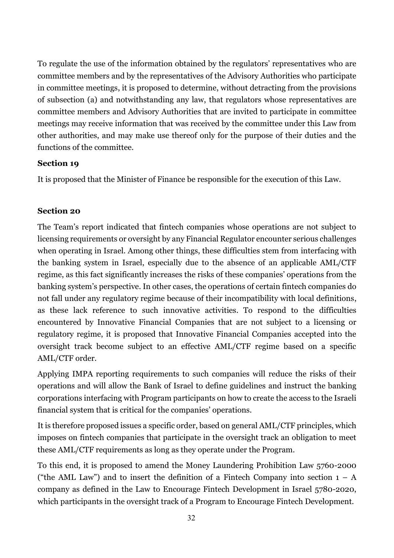To regulate the use of the information obtained by the regulators' representatives who are committee members and by the representatives of the Advisory Authorities who participate in committee meetings, it is proposed to determine, without detracting from the provisions of subsection (a) and notwithstanding any law, that regulators whose representatives are committee members and Advisory Authorities that are invited to participate in committee meetings may receive information that was received by the committee under this Law from other authorities, and may make use thereof only for the purpose of their duties and the functions of the committee.

### **Section 19**

It is proposed that the Minister of Finance be responsible for the execution of this Law.

### **Section 20**

The Team's report indicated that fintech companies whose operations are not subject to licensing requirements or oversight by any Financial Regulator encounter serious challenges when operating in Israel. Among other things, these difficulties stem from interfacing with the banking system in Israel, especially due to the absence of an applicable AML/CTF regime, as this fact significantly increases the risks of these companies' operations from the banking system's perspective. In other cases, the operations of certain fintech companies do not fall under any regulatory regime because of their incompatibility with local definitions, as these lack reference to such innovative activities. To respond to the difficulties encountered by Innovative Financial Companies that are not subject to a licensing or regulatory regime, it is proposed that Innovative Financial Companies accepted into the oversight track become subject to an effective AML/CTF regime based on a specific AML/CTF order.

Applying IMPA reporting requirements to such companies will reduce the risks of their operations and will allow the Bank of Israel to define guidelines and instruct the banking corporations interfacing with Program participants on how to create the access to the Israeli financial system that is critical for the companies' operations.

It is therefore proposed issues a specific order, based on general AML/CTF principles, which imposes on fintech companies that participate in the oversight track an obligation to meet these AML/CTF requirements as long as they operate under the Program.

To this end, it is proposed to amend the Money Laundering Prohibition Law 5760-2000 ("the AML Law") and to insert the definition of a Fintech Company into section  $1 - A$ company as defined in the Law to Encourage Fintech Development in Israel 5780-2020, which participants in the oversight track of a Program to Encourage Fintech Development.